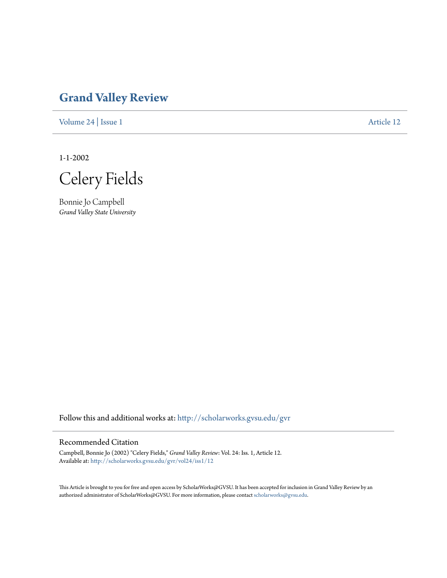## **[Grand Valley Review](http://scholarworks.gvsu.edu/gvr?utm_source=scholarworks.gvsu.edu%2Fgvr%2Fvol24%2Fiss1%2F12&utm_medium=PDF&utm_campaign=PDFCoverPages)**

[Volume 24](http://scholarworks.gvsu.edu/gvr/vol24?utm_source=scholarworks.gvsu.edu%2Fgvr%2Fvol24%2Fiss1%2F12&utm_medium=PDF&utm_campaign=PDFCoverPages) | [Issue 1](http://scholarworks.gvsu.edu/gvr/vol24/iss1?utm_source=scholarworks.gvsu.edu%2Fgvr%2Fvol24%2Fiss1%2F12&utm_medium=PDF&utm_campaign=PDFCoverPages) [Article 12](http://scholarworks.gvsu.edu/gvr/vol24/iss1/12?utm_source=scholarworks.gvsu.edu%2Fgvr%2Fvol24%2Fiss1%2F12&utm_medium=PDF&utm_campaign=PDFCoverPages)

1-1-2002

Celery Fields

Bonnie Jo Campbell *Grand Valley State University*

Follow this and additional works at: [http://scholarworks.gvsu.edu/gvr](http://scholarworks.gvsu.edu/gvr?utm_source=scholarworks.gvsu.edu%2Fgvr%2Fvol24%2Fiss1%2F12&utm_medium=PDF&utm_campaign=PDFCoverPages)

## Recommended Citation

Campbell, Bonnie Jo (2002) "Celery Fields," *Grand Valley Review*: Vol. 24: Iss. 1, Article 12. Available at: [http://scholarworks.gvsu.edu/gvr/vol24/iss1/12](http://scholarworks.gvsu.edu/gvr/vol24/iss1/12?utm_source=scholarworks.gvsu.edu%2Fgvr%2Fvol24%2Fiss1%2F12&utm_medium=PDF&utm_campaign=PDFCoverPages)

This Article is brought to you for free and open access by ScholarWorks@GVSU. It has been accepted for inclusion in Grand Valley Review by an authorized administrator of ScholarWorks@GVSU. For more information, please contact [scholarworks@gvsu.edu.](mailto:scholarworks@gvsu.edu)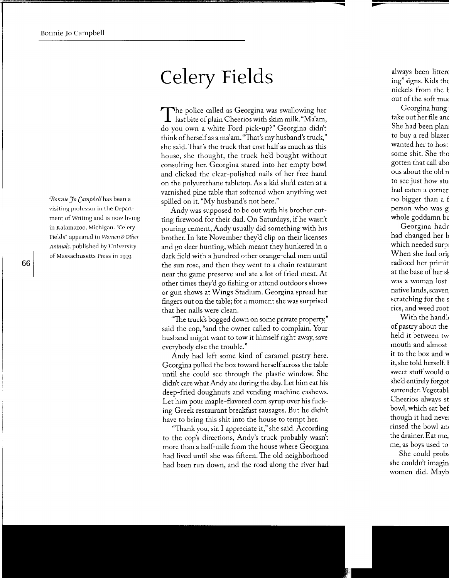*Bonnie Jo Campbell* has been a visiting professor in the Department of Writing and is now living in Kalamazoo, Michigan. "Celery Fields" appeared in *Women* & *Other Animals.* published by University of Massachusetts Press in rggg.

## **Celery Fields**

The police called as Georgina was swallowing her last bite of plain Cheerios with skim milk. "Ma'am, do you own a white Ford pick-up?" Georgina didn't think of herself as a ma'am. "That's my husband's truck," she said. That's the truck that cost half as much as this house, she thought, the truck he'd bought without consulting her. Georgina stared into her empty bowl and clicked the clear-polished nails of her free hand on the polyurethane tabletop. As a kid she'd eaten at a varnished pine table that softened when anything wet spilled on it. "My husband's not here."

Andy was supposed to be out with his brother cutting firewood for their dad. On Saturdays, if he wasn't pouring cement, Andy usually did something with his brother. In late November they'd clip on their licenses and go deer hunting, which meant they hunkered in a dark field with a hundred other orange-clad men until the sun rose, and then they went to a chain restaurant near the game preserve and ate a lot of fried meat. At other times they'd go fishing or attend outdoors shows or gun shows at Wings Stadium. Georgina spread her fingers out on the table; for a moment she was surprised that her nails were clean.

"The truck's bogged down on some private property," said the cop, "and the owner called to complain. Your husband might want to tow it himself right away, save everybody else the trouble."

Andy had left some kind of caramel pastry here. Georgina pulled the box toward herself across the table until she could see through the plastic window. She didn't care what Andy ate during the day. Let him eat his deep-fried doughnuts and vending machine cashews. Let him pour maple-flavored corn syrup over his fucking Greek restaurant breakfast sausages. But he didn't have to bring this shit into the house to tempt her.

"Thank you, sir. I appreciate it," she said. According to the cop's directions, Andy's truck probably wasn't more than a half-mile from the house where Georgina had lived until she was fifteen. The old neighborhood had been run down, and the road along the river had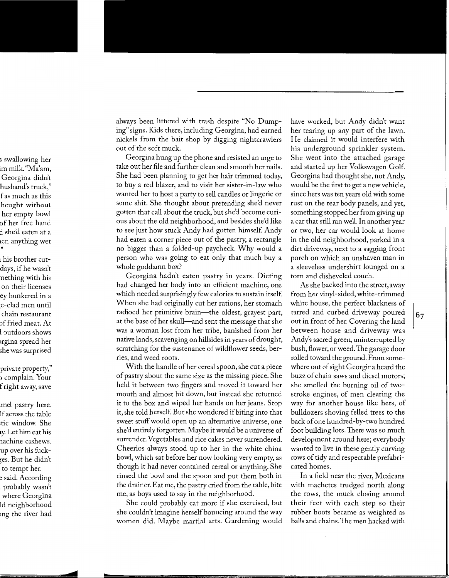always been littered with trash despite "No Dumping" signs. Kids there, including Georgina, had earned nickels from the bait shop by digging nightcrawlers out of the soft muck.

Georgina hung up the phone and resisted an urge to take out her file and further clean and smooth her nails. She had been planning to get her hair trimmed today, to buy a red blazer, and to visit her sister-in-law who wanted her to host a party to sell candles or lingerie or some shit. She thought about pretending she'd never gotten that call about the truck, but she'd become curious about the old neighborhood, and besides she'd like to see just how stuck Andy had gotten himself. Andy had eaten a corner piece out of the pastry, a rectangle no bigger than a folded-up paycheck. Why would a person who was going to eat only that much buy a whole goddamn box?

Georgina hadn't eaten pastry in years. Dieting had changed her body into an efficient machine, one which needed surprisingly few calories to sustain itself. When she had originally cut her rations, her stomach radioed her primitive brain-the oldest, grayest part, at the base of her skull—and sent the message that she was a woman lost from her tribe, banished from her native lands, scavenging on hillsides in years of drought, scratching for the sustenance of wildflower seeds, berries, and weed roots.

With the handle of her cereal spoon, she cut a piece of pastry about the same size as the missing piece. She held it between two fingers and moved it toward her mouth and almost bit down, but instead she returned it to the box and wiped her hands on her jeans. Stop it, she told herself. But she wondered if biting into that sweet stuff would open up an alternative universe, one she'd entirely forgotten. Maybe it would be a universe of surrender. Vegetables and rice cakes never surrendered. Cheerios always stood up to her in the white china bowl, which sat before her now looking very empty, as though it had never contained cereal or anything. She rinsed the bowl and the spoon and put them both in the drainer. Eat me, the pastry cried from the table, bite me, as boys used to say in the neighborhood.

She could probably eat more if she exercised, but she couldn't imagine herself bouncing around the way women did. Maybe martial arts. Gardening would

have worked, but Andy didn't want her tearing up any part of the lawn. He claimed it would interfere with his underground sprinkler system. She went into the attached garage and started up her Volkswagen Golf. Georgina had thought she, not Andy, would be the first to get a new vehicle, since hers was ten years old with some rust on the rear body panels, and yet, something stopped her from giving up a car that still ran well. In another year or two, her car would look at home in the old neighborhood, parked in a dirt driveway, next to a sagging front porch on which an unshaven man in a sleeveless undershirt lounged on a torn and disheveled couch.

As she backed into the street, away from her vinyl-sided, white-trimmed white house, the perfect blackness of tarred and curbed driveway poured out in front of her. Covering the land between house and driveway was Andy's sacred green, uninterrupted by bush, flower, or weed. The garage door rolled toward the ground. From somewhere out of sight Georgina heard the buzz of chain saws and diesel motors; she smelled the burning oil of twostroke engines, of men clearing the way for another house like hers, of bulldozers shoving felled trees to the back of one hundred-by-two hundred foot building lots. There was so much development around here; everybody wanted to live in these gently curving rows of tidy and respectable prefabricated homes.

In a field near the river, Mexicans with machetes trudged north along the rows, the muck closing around their feet with each step so their rubber boots became as weighted as balls and chains. The men hacked with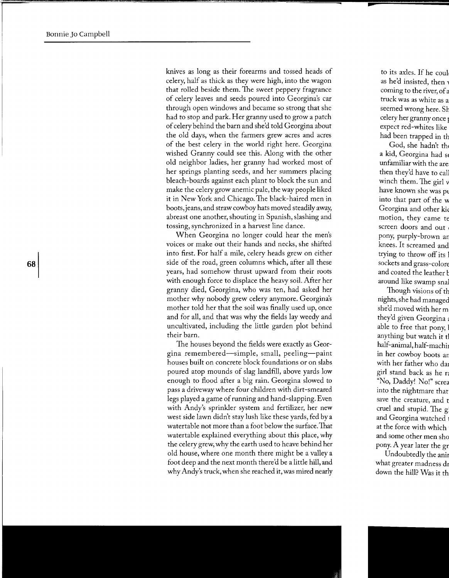knives as long as their forearms and tossed heads of celery, half as thick as they were high, into the wagon that rolled beside them. The sweet peppery fragrance of celery leaves and seeds poured into Georgina's car through open windows and became so strong that she had to stop and park. Her granny used to grow a patch of celery behind the barn and she'd told Georgina about the old days, when the farmers grew acres and acres of the best celery in the world right here. Georgina wished Granny could see this. Along with the other old neighbor ladies, her granny had worked most of her springs planting seeds, and her summers placing bleach-boards against each plant to block the sun and make the celery grow anemic pale, the way people liked it in New York and Chicago. The black-haired men in boots, jeans, and straw cowboy hats moved steadily away, abreast one another, shouting in Spanish, slashing and tossing, synchronized in a harvest line dance.

When Georgina no longer could hear the men's voices or make out their hands and necks, she shifted into first. For half a mile, celery heads grew on either side of the road, green columns which, after all these years, had somehow thrust upward from their roots with enough force to displace the heavy soil. After her granny died, Georgina, who was ten, had asked her mother why nobody grew celery anymore. Georgina's mother told her that the soil was finally used up, once and for all, and that was why the fields lay weedy and uncultivated, including the little garden plot behind their barn.

The houses beyond the fields were exactly as Georgina remembered-simple, small, peeling-paint houses built on concrete block foundations or on slabs poured atop mounds of slag landfill, above yards low enough to flood after a big rain. Georgina slowed to pass a driveway where four children with dirt-smeared legs played a game of running and hand-slapping. Even with Andy's sprinkler system and fertilizer, her new west side lawn didn't stay lush like these yards, fed by a watertable not more than a foot below the surface.That watertable explained everything about this place, why the celery grew, why the earth used to heave behind her old house, where one month there might be a valley a foot deep and the next month there'd be a little hill, and why Andy's truck, when she reached it, was mired nearly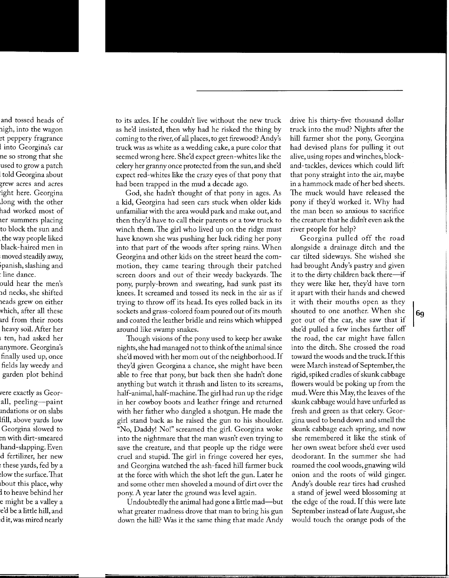to its axles. If he couldn't live without the new truck as he'd insisted, then why had he risked the thing by coming to the river, of all places, to get firewood? Andy's truck was as white as a wedding cake, a pure color that seemed wrong here. She'd expect green-whites like the celery her granny once protected from the sun, and she'd expect red-whites like the crazy eyes of that pony that had been trapped in the mud a decade ago.

God, she hadn't thought of that pony in ages. As a kid, Georgina had seen cars stuck when older kids unfamiliar with the area would park and make out, and then they'd have to call their parents or a tow truck to winch them. The girl who lived up on the ridge must have known she was pushing her luck riding her pony into that part of the woods after spring rains. When Georgina and other kids on the street heard the commotion, they came tearing through their patched screen doors and out of their weedy backyards. The pony, purply-brown and sweating, had sunk past its knees. It screamed and tossed its neck in the air as if trying to throw off its head. Its eyes rolled back in its sockets and grass-colored foam poured out of its mouth and coated the leather bridle and reins which whipped around like swamp snakes.

Though visions of the pony used to keep her awake nights, she had managed not to think of the animal since she'd moved with her mom out of the neighborhood. If they'd given Georgina a chance, she might have been able to free that pony, but back then she hadn't done anything but watch it thrash and listen to its screams, half-animal, half-machine. The girl had run up the ridge in her cowboy boots and leather fringe and returned with her father who dangled a shotgun. He made the girl stand back as he raised the gun to his shoulder. "No, Daddy! No!" screamed the girl. Georgina woke into the nightmare that the man wasn't even trying to save the creature, and that people up the ridge were cruel and stupid. The girl in fringe covered her eyes, and Georgina watched the ash-faced hill farmer buck at the force with which the shot left the gun. Later he and some other men shoveled a mound of dirt over the pony. A year later the ground was level again.

Undoubtedly the animal had gone a little mad—but what greater madness drove that man to bring his gun down the hill? Was it the same thing that made Andy drive his thirty-five thousand dollar truck into the mud? Nights after the hill farmer shot the pony, Georgina had devised plans for pulling it out alive, using ropes and winches, blockand-tackles, devices which could lift that pony straight into the air, maybe in a hammock made of her bed sheets. The muck would have released the pony if they'd worked it. Why had the man been so anxious to sacrifice the creature that he didn't even ask the river people for help?

Georgina pulled off the road alongside a drainage ditch and the car tilted sideways. She wished she had brought Andy's pastry and given it to the dirty children back there-if they were like her, they'd have torn it apart with their hands and chewed it with their mouths open as they shouted to one another. When she got out of the car, she saw that if she'd pulled a few inches farther off the road, the car might have fallen into the ditch. She crossed the road toward the woods and the truck. If this were March instead of September, the rigid, spiked cradles of skunk cabbage flowers would be poking up from the mud. Were this May, the leaves of the skunk cabbage would have unfurled as fresh and green as that celery. Georgina used to bend down and smell the skunk cabbage each spring, and now she remembered it like the stink of her own sweat before she'd ever used deodorant. In the summer she had roamed the cool woods, gnawing wild onion and the roots of wild ginger. Andy's double rear tires had crushed a stand of jewel weed blossoming at the edge of the road. If this were late September instead oflate August, she would touch the orange pods of the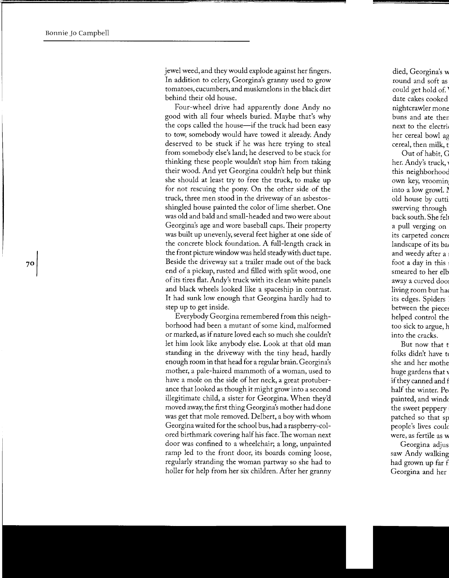jewel weed, and they would explode against her fingers. In addition to celery, Georgina's granny used to grow tomatoes, cucumbers, and muskmelons in the black dirt behind their old house.

Four-wheel drive had apparently done Andy no good with all four wheels buried. Maybe that's why the cops called the house—if the truck had been easy to tow, somebody would have towed it already. Andy deserved to be stuck if he was here trying to steal from somebody else's land; he deserved to be stuck for thinking these people wouldn't stop him from taking their wood. And yet Georgina couldn't help but think she should at least try to free the truck, to make up for not rescuing the pony. On the other side of the truck, three men stood in the driveway of an asbestosshingled house painted the color of lime sherbet. One was old and bald and small-headed and two were about Georgina's age and wore baseball caps. Their property was built up unevenly, several feet higher at one side of the concrete block foundation. A full-length crack in the front picture window was held steady with duct tape. Beside the driveway sat a trailer made out of the back end of a pickup, rusted and filled with split wood, one of its tires flat. Andy's truck with its clean white panels and black wheels looked like a spaceship in contrast. It had sunk low enough that Georgina hardly had to step up to get inside.

Everybody Georgina remembered from this neighborhood had been a mutant of some kind, malformed or marked, as if nature loved each so much she couldn't let him look like anybody else. Look at that old man standing in the driveway with the tiny head, hardly enough room in that head for a regular brain. Georgina's mother, a pale-haired mammoth of a woman, used to have a mole on the side of her neck, a great protuberance that looked as though it might grow into a second illegitimate child, a sister for Georgina. When they'd moved away, the first thing Georgina's mother had done was get that mole removed. Delbert, a boy with whom Georgina waited for the school bus, had a raspberry-colored birthmark covering half his face. The woman next door was confined to a wheelchair; a long, unpainted ramp led to the front door, its boards coming loose, regularly stranding the woman partway so she had to holler for help from her six children. After her granny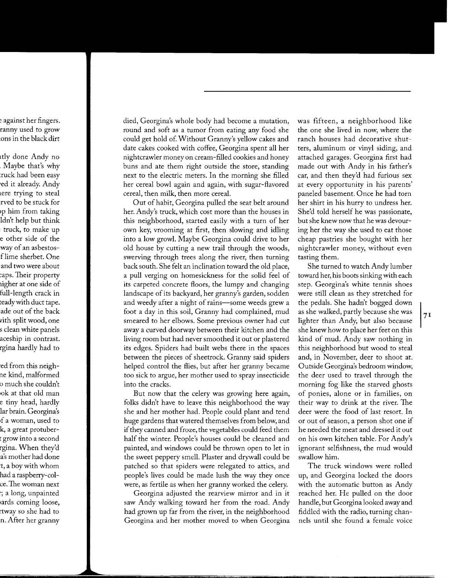died, Georgina's whole body had become a mutation, round and soft as a tumor from eating any food she could get hold of. Without Granny's yellow cakes and date cakes cooked with coffee, Georgina spent all her nightcrawler money on cream-filled cookies and honey buns and ate them right outside the store, standing next to the electric meters. In the morning she filled her cereal bowl again and again, with sugar-flavored cereal, then milk, then more cereal.

Out of habit, Georgina pulled the seat belt around her. Andy's truck, which cost more than the houses in this neighborhood, started easily with a turn of her own key, vrooming at first, then slowing and idling into a low growl. Maybe Georgina could drive to her old house by cutting a new trail through the woods, swerving through trees along the river, then turning back south. She felt an inclination toward the old place, a pull verging on homesickness for the solid feel of its carpeted concrete floors, the lumpy and changing landscape of its backyard, her granny's garden, sodden and weedy after a night of rains-some weeds grew a foot a day in this soil, Granny had complained, mud smeared to her elbows. Some previous owner had cut away a curved doorway between their kitchen and the living room but had never smoothed it out or plastered its edges. Spiders had built webs there in the spaces between the pieces of sheetrock. Granny said spiders helped control the flies, but after her granny became too sick to argue, her mother used to spray insecticide into the cracks.

But now that the celery was growing here again, folks didn't have to leave this neighborhood the way she and her mother had. People could plant and tend huge gardens that watered themselves from below, and if they canned and froze, the vegetables could feed them half the winter. People's houses could be cleaned and painted, and windows could be thrown open to let in the sweet peppery smell. Plaster and drywall could be patched so that spiders were relegated to attics, and people's lives could be made lush the way they once were, as fertile as when her granny worked the celery.

Georgina adjusted the rearview mirror and in it saw Andy walking toward her from the road. Andy had grown up far from the river, in the neighborhood Georgina and her mother moved to when Georgina

was fifteen, a neighborhood like the one she lived in now, where the ranch houses had decorative shutters, aluminum or vinyl siding, and attached garages. Georgina first had made out with Andy in his father's car, and then they'd had furious sex at every opportunity in his parents' paneled basement. Once he had torn her shirt in his hurry to undress her. She'd told herself he was passionate, but she knew now that he was devouring her the way she used to eat those cheap pastries she bought with her nightcrawler money, without even tasting them.

She turned to watch Andy lumber toward her, his boots sinking with each step. Georgina's white tennis shoes were still clean as they stretched for the pedals. She hadn't bogged down as she walked, partly because she was lighter than Andy, but also because she knew how to place her feet on this kind of mud. Andy saw nothing in this neighborhood but wood to steal and, in November, deer to shoot at. Outside Georgina's bedroom window, the deer used to travel through the morning fog like the starved ghosts of ponies, alone or in families, on their way to drink at the river. The deer were the food of last resort. In or out of season, a person shot one if he needed the meat and dressed it out on his own kitchen table. For Andy's ignorant selfishness, the mud would swallow him.

The truck windows were rolled up, and Georgina locked the doors with the automatic button as Andy reached her. He pulled on the door handle, but Georgina looked away and fiddled with the radio, turning channels until she found a female voice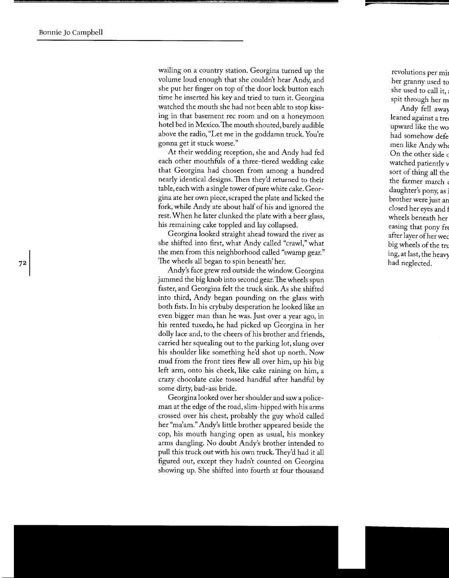wailing on a country station. Georgina turned up the volume loud enough that she couldn't hear Andy, and she put her finger on top of the door lock button each time he inserted his key and tried to turn it. Georgina watched the mouth she had not been able to stop kissing in that basement rec room and on a honeymoon hotel bed in Mexico. The mouth shouted, barely audible above the radio, "Let me in the goddamn truck. You're gonna get it stuck worse."

At their wedding reception, she and Andy had fed each other mouthfuls of a three-tiered wedding cake that Georgina had chosen from among a hundred nearly identical designs. Then they'd returned to their table, each with a single tower of pure white cake. Georgina ate her own piece, scraped the plate and licked the fork, while Andy ate about half of his and ignored the rest. When he later clunked the plate with a beer glass, his remaining cake toppled and lay collapsed.

Georgina looked straight ahead toward the river as she shifted into first, what Andy called "crawl," what the men from this neighborhood called "swamp gear." The wheels all began to spin beneath' her.

Andy's face grew red outside the window. Georgina jammed the big knob into second gear. The wheels spun faster, and Georgina felt the truck sink. As she shifted into third, Andy began pounding on the glass with both fists. In his crybaby desperation he looked like an even bigger man than he was. Just over a year ago, in his rented tuxedo, he had picked up Georgina in her dolly lace and, to the cheers of his brother and friends, carried her squealing out to the parking lot, slung over his shoulder like something he'd shot up north. Now mud from the front tires flew all over him, up his big left arm, onto his cheek, like cake raining on him, a crazy chocolate cake tossed handful after handful by some dirty, bad-ass bride.

Georgina looked over her shoulder and saw a policeman at the edge of the road, slim-hipped with his arms crossed over his chest, probably the guy who'd called her "ma'am." Andy's little brother appeared beside the cop, his mouth hanging open as usual, his monkey arms dangling. No doubt Andy's brother intended to pull this truck out with his own truck. They'd had it all figured out, except they hadn't counted on Georgina showing up. She shifted into fourth at four thousand